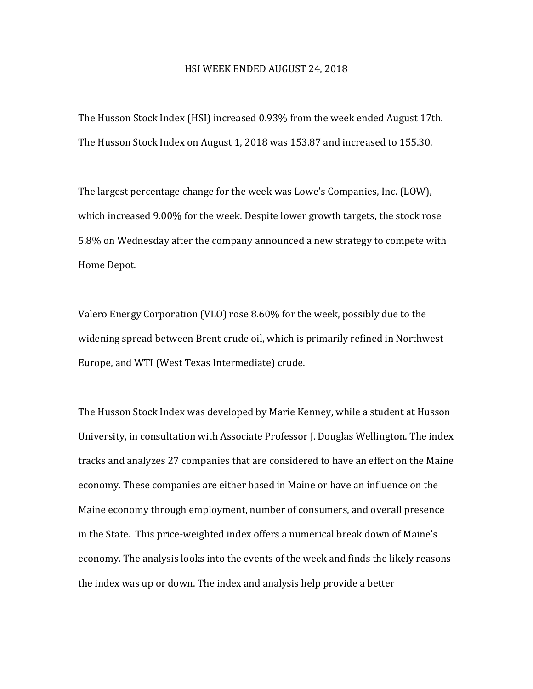## HSI WEEK ENDED AUGUST 24, 2018

The Husson Stock Index (HSI) increased 0.93% from the week ended August 17th. The Husson Stock Index on August 1, 2018 was 153.87 and increased to 155.30.

The largest percentage change for the week was Lowe's Companies, Inc. (LOW), which increased 9.00% for the week. Despite lower growth targets, the stock rose 5.8% on Wednesday after the company announced a new strategy to compete with Home Depot.

Valero Energy Corporation (VLO) rose 8.60% for the week, possibly due to the widening spread between Brent crude oil, which is primarily refined in Northwest Europe, and WTI (West Texas Intermediate) crude.

The Husson Stock Index was developed by Marie Kenney, while a student at Husson University, in consultation with Associate Professor J. Douglas Wellington. The index tracks and analyzes 27 companies that are considered to have an effect on the Maine economy. These companies are either based in Maine or have an influence on the Maine economy through employment, number of consumers, and overall presence in the State. This price-weighted index offers a numerical break down of Maine's economy. The analysis looks into the events of the week and finds the likely reasons the index was up or down. The index and analysis help provide a better